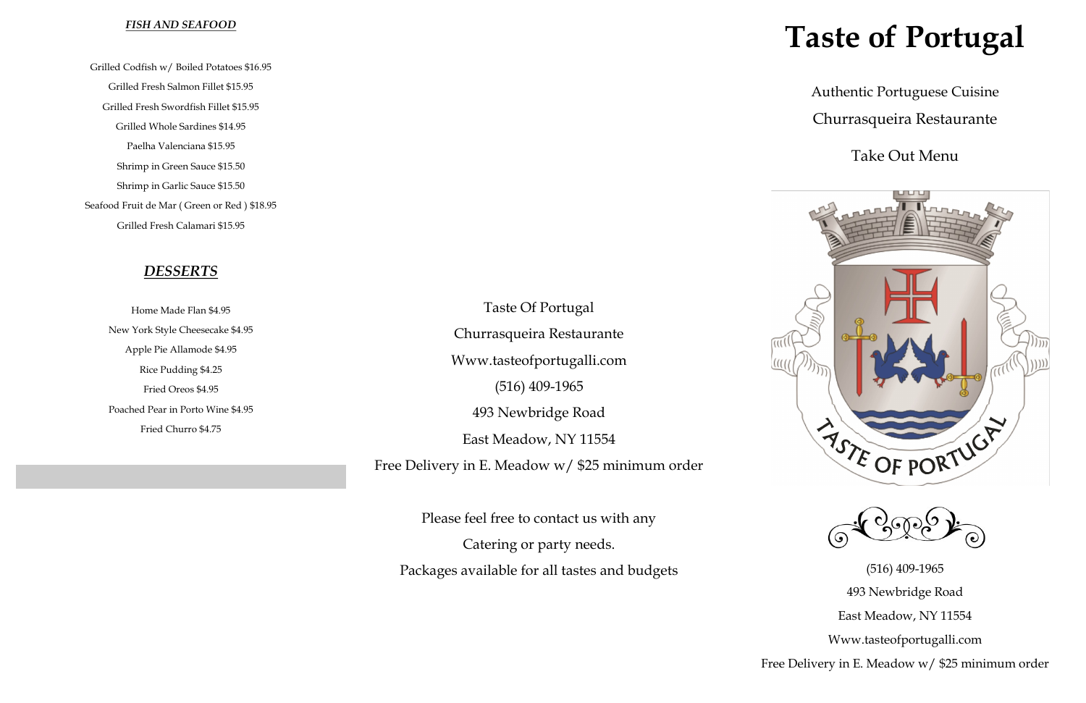# **Taste of Portugal**

Authentic Portuguese Cuisine Churrasqueira Restaurante

(516) 409-1965 493 Newbridge Road East Meadow, NY 11554 Www.tasteofportugalli.com Free Delivery in E. Meadow w/ \$25 minimum order

## Take Out Menu





#### *FISH AND SEAFOOD*

Grilled Codfish w/ Boiled Potatoes \$16.95 Grilled Fresh Salmon Fillet \$15.95 Grilled Fresh Swordfish Fillet \$15.95 Grilled Whole Sardines \$14.95 Paelha Valenciana \$15.95 Shrimp in Green Sauce \$15.50 Shrimp in Garlic Sauce \$15.50 Seafood Fruit de Mar ( Green or Red ) \$18.95 Grilled Fresh Calamari \$15.95

## *DESSERTS*

Home Made Flan \$4.95 New York Style Cheesecake \$4.95 Apple Pie Allamode \$4.95 Rice Pudding \$4.25 Fried Oreos \$4.95 Poached Pear in Porto Wine \$4.95 Fried Churro \$4.75

Taste Of Portugal Churrasqueira Restaurante Www.tasteofportugalli.com (516) 409-1965 493 Newbridge Road East Meadow, NY 11554

Free Delivery in E. Meadow w/ \$25 minimum order

Please feel free to contact us with any Catering or party needs. Packages available for all tastes and budgets